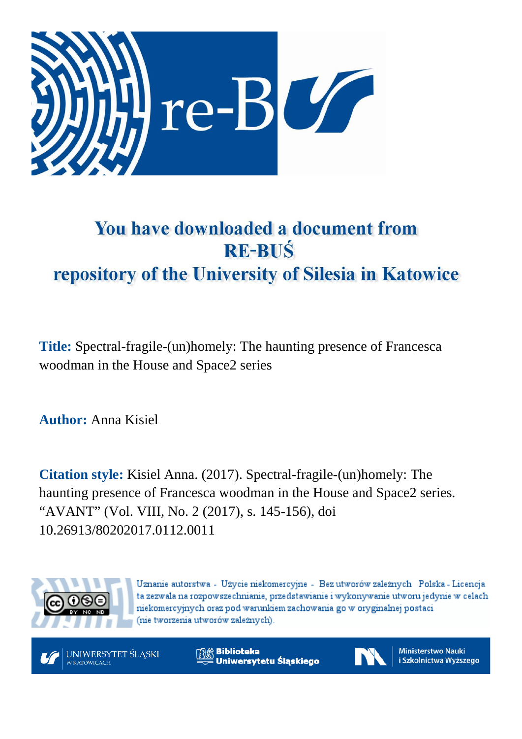

# You have downloaded a document from **RE-BUŚ** repository of the University of Silesia in Katowice

**Title:** Spectral-fragile-(un)homely: The haunting presence of Francesca woodman in the House and Space2 series

**Author:** Anna Kisiel

**Citation style:** Kisiel Anna. (2017). Spectral-fragile-(un)homely: The haunting presence of Francesca woodman in the House and Space2 series. "AVANT" (Vol. VIII, No. 2 (2017), s. 145-156), doi 10.26913/80202017.0112.0011



Uznanie autorstwa - Użycie niekomercyjne - Bez utworów zależnych Polska - Licencja ta zezwala na rozpowszechnianie, przedstawianie i wykonywanie utworu jedynie w celach niekomercyjnych oraz pod warunkiem zachowania go w oryginalnej postaci (nie tworzenia utworów zależnych).

UNIWERSYTET ŚLĄSKI **V KATOWICACH** 

**Biblioteka** Uniwersytetu Śląskiego



**Ministerstwo Nauki** i Szkolnictwa Wyższego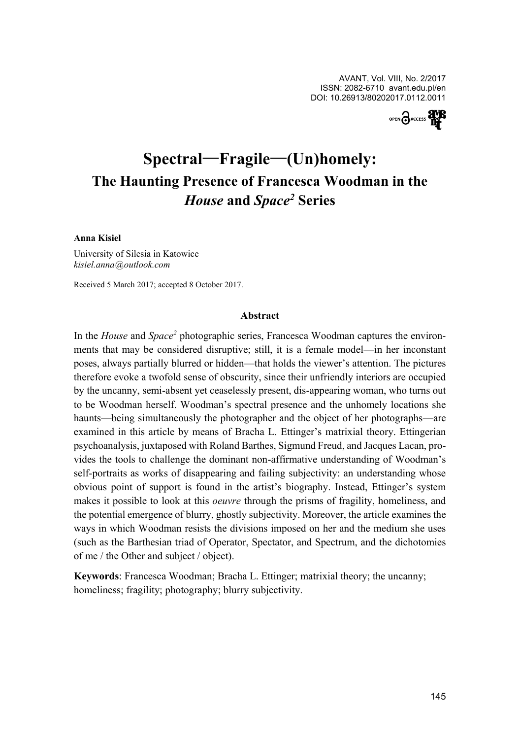

# **Spectral**—**Fragile**—**(Un)homely: The Haunting Presence of Francesca Woodman in the**  *House* **and** *Space<sup>2</sup>* **Series**

#### **Anna Kisiel**

University of Silesia in Katowice *kisiel.anna-@-outlook.com*

Received 5 March 2017; accepted 8 October 2017.

#### **Abstract**

In the *House* and *Space<sup>2</sup>* photographic series, Francesca Woodman captures the environments that may be considered disruptive; still, it is a female model—in her inconstant poses, always partially blurred or hidden—that holds the viewer's attention. The pictures therefore evoke a twofold sense of obscurity, since their unfriendly interiors are occupied by the uncanny, semi-absent yet ceaselessly present, dis-appearing woman, who turns out to be Woodman herself. Woodman's spectral presence and the unhomely locations she haunts—being simultaneously the photographer and the object of her photographs—are examined in this article by means of Bracha L. Ettinger's matrixial theory. Ettingerian psychoanalysis, juxtaposed with Roland Barthes, Sigmund Freud, and Jacques Lacan, provides the tools to challenge the dominant non-affirmative understanding of Woodman's self-portraits as works of disappearing and failing subjectivity: an understanding whose obvious point of support is found in the artist's biography. Instead, Ettinger's system makes it possible to look at this *oeuvre* through the prisms of fragility, homeliness, and the potential emergence of blurry, ghostly subjectivity. Moreover, the article examines the ways in which Woodman resists the divisions imposed on her and the medium she uses (such as the Barthesian triad of Operator, Spectator, and Spectrum, and the dichotomies of me / the Other and subject / object).

**Keywords**: Francesca Woodman; Bracha L. Ettinger; matrixial theory; the uncanny; homeliness; fragility; photography; blurry subjectivity.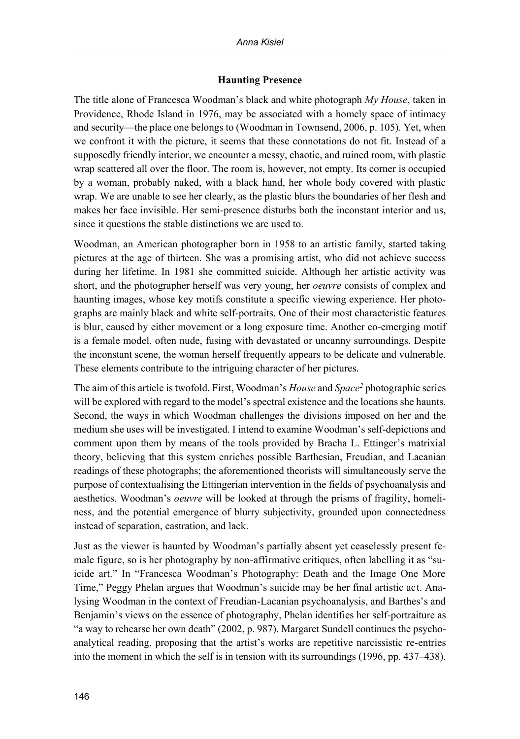# **Haunting Presence**

The title alone of Francesca Woodman's black and white photograph *My House*, taken in Providence, Rhode Island in 1976, may be associated with a homely space of intimacy and security—the place one belongs to (Woodman in Townsend, 2006, p. 105). Yet, when we confront it with the picture, it seems that these connotations do not fit. Instead of a supposedly friendly interior, we encounter a messy, chaotic, and ruined room, with plastic wrap scattered all over the floor. The room is, however, not empty. Its corner is occupied by a woman, probably naked, with a black hand, her whole body covered with plastic wrap. We are unable to see her clearly, as the plastic blurs the boundaries of her flesh and makes her face invisible. Her semi-presence disturbs both the inconstant interior and us, since it questions the stable distinctions we are used to.

Woodman, an American photographer born in 1958 to an artistic family, started taking pictures at the age of thirteen. She was a promising artist, who did not achieve success during her lifetime. In 1981 she committed suicide. Although her artistic activity was short, and the photographer herself was very young, her *oeuvre* consists of complex and haunting images, whose key motifs constitute a specific viewing experience. Her photographs are mainly black and white self-portraits. One of their most characteristic features is blur, caused by either movement or a long exposure time. Another co-emerging motif is a female model, often nude, fusing with devastated or uncanny surroundings. Despite the inconstant scene, the woman herself frequently appears to be delicate and vulnerable. These elements contribute to the intriguing character of her pictures.

The aim of this article is twofold. First, Woodman's *House* and *Space<sup>2</sup>* photographic series will be explored with regard to the model's spectral existence and the locations she haunts. Second, the ways in which Woodman challenges the divisions imposed on her and the medium she uses will be investigated. I intend to examine Woodman's self-depictions and comment upon them by means of the tools provided by Bracha L. Ettinger's matrixial theory, believing that this system enriches possible Barthesian, Freudian, and Lacanian readings of these photographs; the aforementioned theorists will simultaneously serve the purpose of contextualising the Ettingerian intervention in the fields of psychoanalysis and aesthetics. Woodman's *oeuvre* will be looked at through the prisms of fragility, homeliness, and the potential emergence of blurry subjectivity, grounded upon connectedness instead of separation, castration, and lack.

Just as the viewer is haunted by Woodman's partially absent yet ceaselessly present female figure, so is her photography by non-affirmative critiques, often labelling it as "suicide art." In "Francesca Woodman's Photography: Death and the Image One More Time," Peggy Phelan argues that Woodman's suicide may be her final artistic act. Analysing Woodman in the context of Freudian-Lacanian psychoanalysis, and Barthes's and Benjamin's views on the essence of photography, Phelan identifies her self-portraiture as "a way to rehearse her own death" (2002, p. 987). Margaret Sundell continues the psychoanalytical reading, proposing that the artist's works are repetitive narcissistic re-entries into the moment in which the self is in tension with its surroundings (1996, pp. 437–438).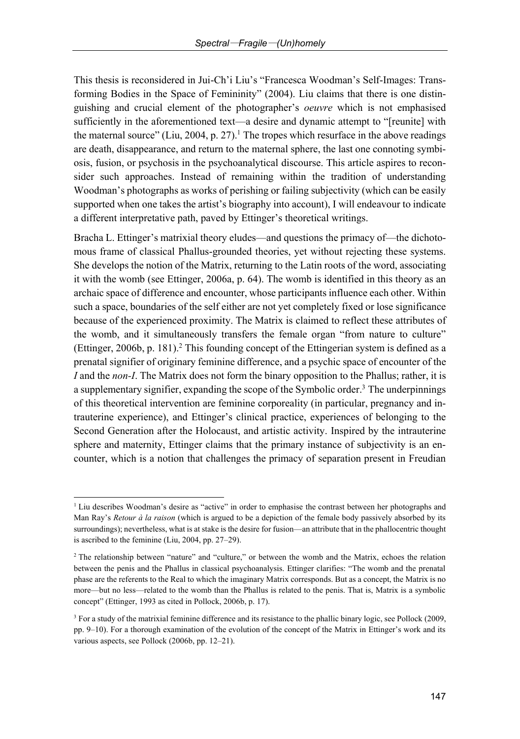This thesis is reconsidered in Jui-Ch'i Liu's "Francesca Woodman's Self-Images: Transforming Bodies in the Space of Femininity" (2004). Liu claims that there is one distinguishing and crucial element of the photographer's *oeuvre* which is not emphasised sufficiently in the aforementioned text—a desire and dynamic attempt to "[reunite] with the maternal source" (Liu, 2004, p. 27).<sup>1</sup> The tropes which resurface in the above readings are death, disappearance, and return to the maternal sphere, the last one connoting symbiosis, fusion, or psychosis in the psychoanalytical discourse. This article aspires to reconsider such approaches. Instead of remaining within the tradition of understanding Woodman's photographs as works of perishing or failing subjectivity (which can be easily supported when one takes the artist's biography into account), I will endeavour to indicate a different interpretative path, paved by Ettinger's theoretical writings.

Bracha L. Ettinger's matrixial theory eludes—and questions the primacy of—the dichotomous frame of classical Phallus-grounded theories, yet without rejecting these systems. She develops the notion of the Matrix, returning to the Latin roots of the word, associating it with the womb (see Ettinger, 2006a, p. 64). The womb is identified in this theory as an archaic space of difference and encounter, whose participants influence each other. Within such a space, boundaries of the self either are not yet completely fixed or lose significance because of the experienced proximity. The Matrix is claimed to reflect these attributes of the womb, and it simultaneously transfers the female organ "from nature to culture" (Ettinger, 2006b, p. 181). <sup>2</sup> This founding concept of the Ettingerian system is defined as a prenatal signifier of originary feminine difference, and a psychic space of encounter of the *I* and the *non-I*. The Matrix does not form the binary opposition to the Phallus; rather, it is a supplementary signifier, expanding the scope of the Symbolic order. <sup>3</sup> The underpinnings of this theoretical intervention are feminine corporeality (in particular, pregnancy and intrauterine experience), and Ettinger's clinical practice, experiences of belonging to the Second Generation after the Holocaust, and artistic activity. Inspired by the intrauterine sphere and maternity, Ettinger claims that the primary instance of subjectivity is an encounter, which is a notion that challenges the primacy of separation present in Freudian

<sup>&</sup>lt;sup>1</sup> Liu describes Woodman's desire as "active" in order to emphasise the contrast between her photographs and Man Ray's *Retour à la raison* (which is argued to be a depiction of the female body passively absorbed by its surroundings); nevertheless, what is at stake is the desire for fusion—an attribute that in the phallocentric thought is ascribed to the feminine (Liu, 2004, pp. 27–29).

<sup>&</sup>lt;sup>2</sup> The relationship between "nature" and "culture," or between the womb and the Matrix, echoes the relation between the penis and the Phallus in classical psychoanalysis. Ettinger clarifies: "The womb and the prenatal phase are the referents to the Real to which the imaginary Matrix corresponds. But as a concept, the Matrix is no more—but no less—related to the womb than the Phallus is related to the penis. That is, Matrix is a symbolic concept" (Ettinger, 1993 as cited in Pollock, 2006b, p. 17).

<sup>&</sup>lt;sup>3</sup> For a study of the matrixial feminine difference and its resistance to the phallic binary logic, see Pollock (2009, pp. 9–10). For a thorough examination of the evolution of the concept of the Matrix in Ettinger's work and its various aspects, see Pollock (2006b, pp. 12–21).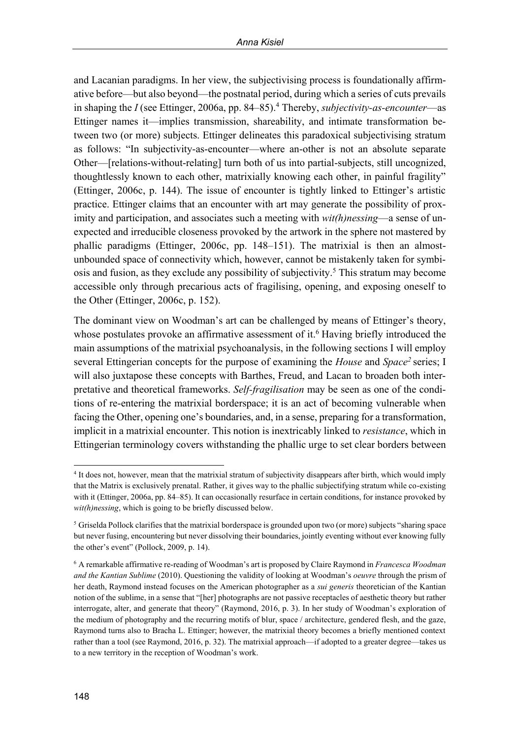and Lacanian paradigms. In her view, the subjectivising process is foundationally affirmative before—but also beyond—the postnatal period, during which a series of cuts prevails in shaping the *I* (see Ettinger, 2006a, pp. 84–85). <sup>4</sup> Thereby, *subjectivity-as-encounter*—as Ettinger names it—implies transmission, shareability, and intimate transformation between two (or more) subjects. Ettinger delineates this paradoxical subjectivising stratum as follows: "In subjectivity-as-encounter—where an-other is not an absolute separate Other—[relations-without-relating] turn both of us into partial-subjects, still uncognized, thoughtlessly known to each other, matrixially knowing each other, in painful fragility" (Ettinger, 2006c, p. 144). The issue of encounter is tightly linked to Ettinger's artistic practice. Ettinger claims that an encounter with art may generate the possibility of proximity and participation, and associates such a meeting with *wit(h)nessing*—a sense of unexpected and irreducible closeness provoked by the artwork in the sphere not mastered by phallic paradigms (Ettinger, 2006c, pp. 148–151). The matrixial is then an almostunbounded space of connectivity which, however, cannot be mistakenly taken for symbiosis and fusion, as they exclude any possibility of subjectivity. <sup>5</sup> This stratum may become accessible only through precarious acts of fragilising, opening, and exposing oneself to the Other (Ettinger, 2006c, p. 152).

The dominant view on Woodman's art can be challenged by means of Ettinger's theory, whose postulates provoke an affirmative assessment of it. <sup>6</sup> Having briefly introduced the main assumptions of the matrixial psychoanalysis, in the following sections I will employ several Ettingerian concepts for the purpose of examining the *House* and *Space<sup>2</sup>* series; I will also juxtapose these concepts with Barthes, Freud, and Lacan to broaden both interpretative and theoretical frameworks. *Self-fragilisation* may be seen as one of the conditions of re-entering the matrixial borderspace; it is an act of becoming vulnerable when facing the Other, opening one's boundaries, and, in a sense, preparing for a transformation, implicit in a matrixial encounter. This notion is inextricably linked to *resistance*, which in Ettingerian terminology covers withstanding the phallic urge to set clear borders between

 $\overline{a}$ 4 It does not, however, mean that the matrixial stratum of subjectivity disappears after birth, which would imply that the Matrix is exclusively prenatal. Rather, it gives way to the phallic subjectifying stratum while co-existing with it (Ettinger, 2006a, pp. 84–85). It can occasionally resurface in certain conditions, for instance provoked by *wit(h)nessing*, which is going to be briefly discussed below.

<sup>5</sup> Griselda Pollock clarifies that the matrixial borderspace is grounded upon two (or more) subjects "sharing space but never fusing, encountering but never dissolving their boundaries, jointly eventing without ever knowing fully the other's event" (Pollock, 2009, p. 14).

<sup>6</sup> A remarkable affirmative re-reading of Woodman's art is proposed by Claire Raymond in *Francesca Woodman and the Kantian Sublime* (2010). Questioning the validity of looking at Woodman's *oeuvre* through the prism of her death, Raymond instead focuses on the American photographer as a *sui generis* theoretician of the Kantian notion of the sublime, in a sense that "[her] photographs are not passive receptacles of aesthetic theory but rather interrogate, alter, and generate that theory" (Raymond, 2016, p. 3). In her study of Woodman's exploration of the medium of photography and the recurring motifs of blur, space / architecture, gendered flesh, and the gaze, Raymond turns also to Bracha L. Ettinger; however, the matrixial theory becomes a briefly mentioned context rather than a tool (see Raymond, 2016, p. 32). The matrixial approach—if adopted to a greater degree—takes us to a new territory in the reception of Woodman's work.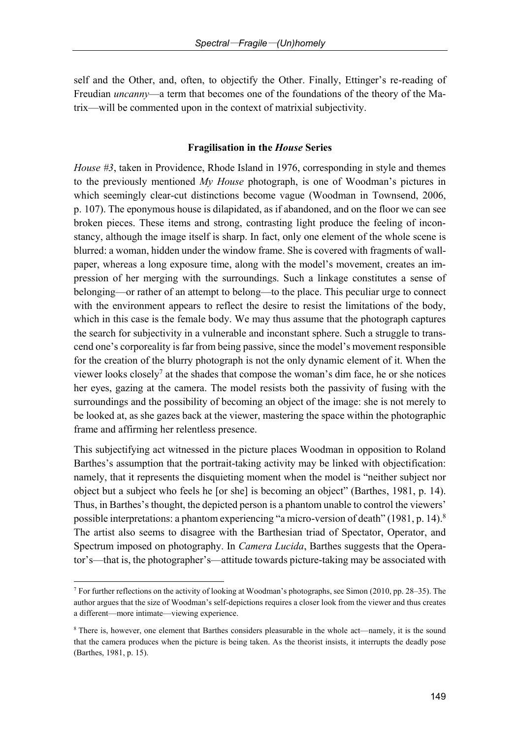self and the Other, and, often, to objectify the Other. Finally, Ettinger's re-reading of Freudian *uncanny*—a term that becomes one of the foundations of the theory of the Matrix—will be commented upon in the context of matrixial subjectivity.

### **Fragilisation in the** *House* **Series**

*House #3*, taken in Providence, Rhode Island in 1976, corresponding in style and themes to the previously mentioned *My House* photograph, is one of Woodman's pictures in which seemingly clear-cut distinctions become vague (Woodman in Townsend, 2006, p. 107). The eponymous house is dilapidated, as if abandoned, and on the floor we can see broken pieces. These items and strong, contrasting light produce the feeling of inconstancy, although the image itself is sharp. In fact, only one element of the whole scene is blurred: a woman, hidden under the window frame. She is covered with fragments of wallpaper, whereas a long exposure time, along with the model's movement, creates an impression of her merging with the surroundings. Such a linkage constitutes a sense of belonging—or rather of an attempt to belong—to the place. This peculiar urge to connect with the environment appears to reflect the desire to resist the limitations of the body, which in this case is the female body. We may thus assume that the photograph captures the search for subjectivity in a vulnerable and inconstant sphere. Such a struggle to transcend one's corporeality is far from being passive, since the model's movement responsible for the creation of the blurry photograph is not the only dynamic element of it. When the viewer looks closely<sup>7</sup> at the shades that compose the woman's dim face, he or she notices her eyes, gazing at the camera. The model resists both the passivity of fusing with the surroundings and the possibility of becoming an object of the image: she is not merely to be looked at, as she gazes back at the viewer, mastering the space within the photographic frame and affirming her relentless presence.

This subjectifying act witnessed in the picture places Woodman in opposition to Roland Barthes's assumption that the portrait-taking activity may be linked with objectification: namely, that it represents the disquieting moment when the model is "neither subject nor object but a subject who feels he [or she] is becoming an object" (Barthes, 1981, p. 14). Thus, in Barthes's thought, the depicted person is a phantom unable to control the viewers' possible interpretations: a phantom experiencing "a micro-version of death" (1981, p. 14).<sup>8</sup> The artist also seems to disagree with the Barthesian triad of Spectator, Operator, and Spectrum imposed on photography. In *Camera Lucida*, Barthes suggests that the Operator's—that is, the photographer's—attitude towards picture-taking may be associated with

<sup>7</sup> For further reflections on the activity of looking at Woodman's photographs, see Simon (2010, pp. 28–35). The author argues that the size of Woodman's self-depictions requires a closer look from the viewer and thus creates a different—more intimate—viewing experience.

<sup>8</sup> There is, however, one element that Barthes considers pleasurable in the whole act—namely, it is the sound that the camera produces when the picture is being taken. As the theorist insists, it interrupts the deadly pose (Barthes, 1981, p. 15).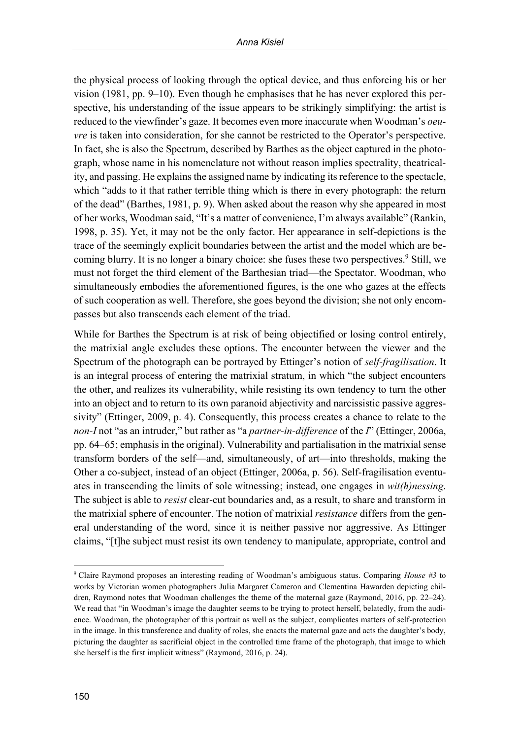the physical process of looking through the optical device, and thus enforcing his or her vision (1981, pp. 9–10). Even though he emphasises that he has never explored this perspective, his understanding of the issue appears to be strikingly simplifying: the artist is reduced to the viewfinder's gaze. It becomes even more inaccurate when Woodman's *oeuvre* is taken into consideration, for she cannot be restricted to the Operator's perspective. In fact, she is also the Spectrum, described by Barthes as the object captured in the photograph, whose name in his nomenclature not without reason implies spectrality, theatricality, and passing. He explains the assigned name by indicating its reference to the spectacle, which "adds to it that rather terrible thing which is there in every photograph: the return of the dead" (Barthes, 1981, p. 9). When asked about the reason why she appeared in most of her works, Woodman said, "It's a matter of convenience, I'm always available" (Rankin, 1998, p. 35). Yet, it may not be the only factor. Her appearance in self-depictions is the trace of the seemingly explicit boundaries between the artist and the model which are becoming blurry. It is no longer a binary choice: she fuses these two perspectives. <sup>9</sup> Still, we must not forget the third element of the Barthesian triad—the Spectator. Woodman, who simultaneously embodies the aforementioned figures, is the one who gazes at the effects of such cooperation as well. Therefore, she goes beyond the division; she not only encompasses but also transcends each element of the triad.

While for Barthes the Spectrum is at risk of being objectified or losing control entirely, the matrixial angle excludes these options. The encounter between the viewer and the Spectrum of the photograph can be portrayed by Ettinger's notion of *self-fragilisation*. It is an integral process of entering the matrixial stratum, in which "the subject encounters the other, and realizes its vulnerability, while resisting its own tendency to turn the other into an object and to return to its own paranoid abjectivity and narcissistic passive aggressivity" (Ettinger, 2009, p. 4). Consequently, this process creates a chance to relate to the *non-I* not "as an intruder," but rather as "a *partner-in-difference* of the *I*" (Ettinger, 2006a, pp. 64–65; emphasis in the original). Vulnerability and partialisation in the matrixial sense transform borders of the self—and, simultaneously, of art—into thresholds, making the Other a co-subject, instead of an object (Ettinger, 2006a, p. 56). Self-fragilisation eventuates in transcending the limits of sole witnessing; instead, one engages in *wit(h)nessing*. The subject is able to *resist* clear-cut boundaries and, as a result, to share and transform in the matrixial sphere of encounter. The notion of matrixial *resistance* differs from the general understanding of the word, since it is neither passive nor aggressive. As Ettinger claims, "[t]he subject must resist its own tendency to manipulate, appropriate, control and

 $\overline{a}$ <sup>9</sup> Claire Raymond proposes an interesting reading of Woodman's ambiguous status. Comparing *House #3* to works by Victorian women photographers Julia Margaret Cameron and Clementina Hawarden depicting children, Raymond notes that Woodman challenges the theme of the maternal gaze (Raymond, 2016, pp. 22–24). We read that "in Woodman's image the daughter seems to be trying to protect herself, belatedly, from the audience. Woodman, the photographer of this portrait as well as the subject, complicates matters of self-protection in the image. In this transference and duality of roles, she enacts the maternal gaze and acts the daughter's body, picturing the daughter as sacrificial object in the controlled time frame of the photograph, that image to which she herself is the first implicit witness" (Raymond, 2016, p. 24).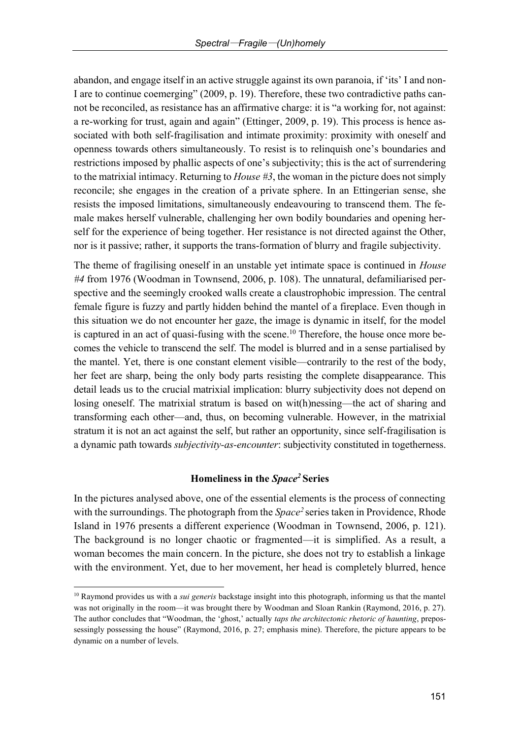abandon, and engage itself in an active struggle against its own paranoia, if 'its' I and non-I are to continue coemerging" (2009, p. 19). Therefore, these two contradictive paths cannot be reconciled, as resistance has an affirmative charge: it is "a working for, not against: a re-working for trust, again and again" (Ettinger, 2009, p. 19). This process is hence associated with both self-fragilisation and intimate proximity: proximity with oneself and openness towards others simultaneously. To resist is to relinquish one's boundaries and restrictions imposed by phallic aspects of one's subjectivity; this is the act of surrendering to the matrixial intimacy. Returning to *House #3*, the woman in the picture does not simply reconcile; she engages in the creation of a private sphere. In an Ettingerian sense, she resists the imposed limitations, simultaneously endeavouring to transcend them. The female makes herself vulnerable, challenging her own bodily boundaries and opening herself for the experience of being together. Her resistance is not directed against the Other, nor is it passive; rather, it supports the trans-formation of blurry and fragile subjectivity.

The theme of fragilising oneself in an unstable yet intimate space is continued in *House #4* from 1976 (Woodman in Townsend, 2006, p. 108). The unnatural, defamiliarised perspective and the seemingly crooked walls create a claustrophobic impression. The central female figure is fuzzy and partly hidden behind the mantel of a fireplace. Even though in this situation we do not encounter her gaze, the image is dynamic in itself, for the model is captured in an act of quasi-fusing with the scene. <sup>10</sup> Therefore, the house once more becomes the vehicle to transcend the self. The model is blurred and in a sense partialised by the mantel. Yet, there is one constant element visible—contrarily to the rest of the body, her feet are sharp, being the only body parts resisting the complete disappearance. This detail leads us to the crucial matrixial implication: blurry subjectivity does not depend on losing oneself. The matrixial stratum is based on wit(h)nessing—the act of sharing and transforming each other—and, thus, on becoming vulnerable. However, in the matrixial stratum it is not an act against the self, but rather an opportunity, since self-fragilisation is a dynamic path towards *subjectivity-as-encounter*: subjectivity constituted in togetherness.

# **Homeliness in the** *Space<sup>2</sup>***Series**

In the pictures analysed above, one of the essential elements is the process of connecting with the surroundings. The photograph from the *Space<sup>2</sup>*series taken in Providence, Rhode Island in 1976 presents a different experience (Woodman in Townsend, 2006, p. 121). The background is no longer chaotic or fragmented—it is simplified. As a result, a woman becomes the main concern. In the picture, she does not try to establish a linkage with the environment. Yet, due to her movement, her head is completely blurred, hence

<sup>10</sup> Raymond provides us with a *sui generis* backstage insight into this photograph, informing us that the mantel was not originally in the room—it was brought there by Woodman and Sloan Rankin (Raymond, 2016, p. 27). The author concludes that "Woodman, the 'ghost,' actually *taps the architectonic rhetoric of haunting*, prepossessingly possessing the house" (Raymond, 2016, p. 27; emphasis mine). Therefore, the picture appears to be dynamic on a number of levels.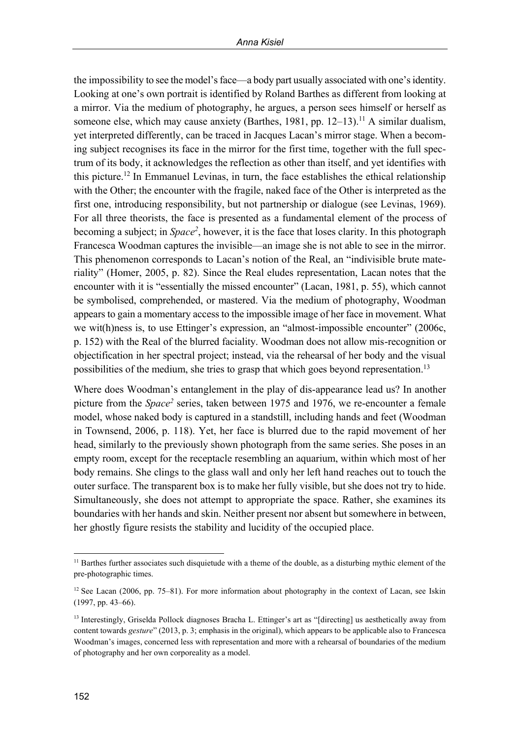the impossibility to see the model's face—a body part usually associated with one's identity. Looking at one's own portrait is identified by Roland Barthes as different from looking at a mirror. Via the medium of photography, he argues, a person sees himself or herself as someone else, which may cause anxiety (Barthes, 1981, pp. 12–13). <sup>11</sup> A similar dualism, yet interpreted differently, can be traced in Jacques Lacan's mirror stage. When a becoming subject recognises its face in the mirror for the first time, together with the full spectrum of its body, it acknowledges the reflection as other than itself, and yet identifies with this picture. <sup>12</sup> In Emmanuel Levinas, in turn, the face establishes the ethical relationship with the Other; the encounter with the fragile, naked face of the Other is interpreted as the first one, introducing responsibility, but not partnership or dialogue (see Levinas, 1969). For all three theorists, the face is presented as a fundamental element of the process of becoming a subject; in *Space<sup>2</sup>* , however, it is the face that loses clarity. In this photograph Francesca Woodman captures the invisible—an image she is not able to see in the mirror. This phenomenon corresponds to Lacan's notion of the Real, an "indivisible brute materiality" (Homer, 2005, p. 82). Since the Real eludes representation, Lacan notes that the encounter with it is "essentially the missed encounter" (Lacan, 1981, p. 55), which cannot be symbolised, comprehended, or mastered. Via the medium of photography, Woodman appears to gain a momentary access to the impossible image of her face in movement. What we wit(h)ness is, to use Ettinger's expression, an "almost-impossible encounter" (2006c, p. 152) with the Real of the blurred faciality. Woodman does not allow mis-recognition or objectification in her spectral project; instead, via the rehearsal of her body and the visual possibilities of the medium, she tries to grasp that which goes beyond representation.<sup>13</sup>

Where does Woodman's entanglement in the play of dis-appearance lead us? In another picture from the *Space<sup>2</sup>* series, taken between 1975 and 1976, we re-encounter a female model, whose naked body is captured in a standstill, including hands and feet (Woodman in Townsend, 2006, p. 118). Yet, her face is blurred due to the rapid movement of her head, similarly to the previously shown photograph from the same series. She poses in an empty room, except for the receptacle resembling an aquarium, within which most of her body remains. She clings to the glass wall and only her left hand reaches out to touch the outer surface. The transparent box is to make her fully visible, but she does not try to hide. Simultaneously, she does not attempt to appropriate the space. Rather, she examines its boundaries with her hands and skin. Neither present nor absent but somewhere in between, her ghostly figure resists the stability and lucidity of the occupied place.

<sup>&</sup>lt;sup>11</sup> Barthes further associates such disquietude with a theme of the double, as a disturbing mythic element of the pre-photographic times.

 $12$  See Lacan (2006, pp. 75–81). For more information about photography in the context of Lacan, see Iskin (1997, pp. 43–66).

<sup>&</sup>lt;sup>13</sup> Interestingly, Griselda Pollock diagnoses Bracha L. Ettinger's art as "[directing] us aesthetically away from content towards *gesture*" (2013, p. 3; emphasis in the original), which appears to be applicable also to Francesca Woodman's images, concerned less with representation and more with a rehearsal of boundaries of the medium of photography and her own corporeality as a model.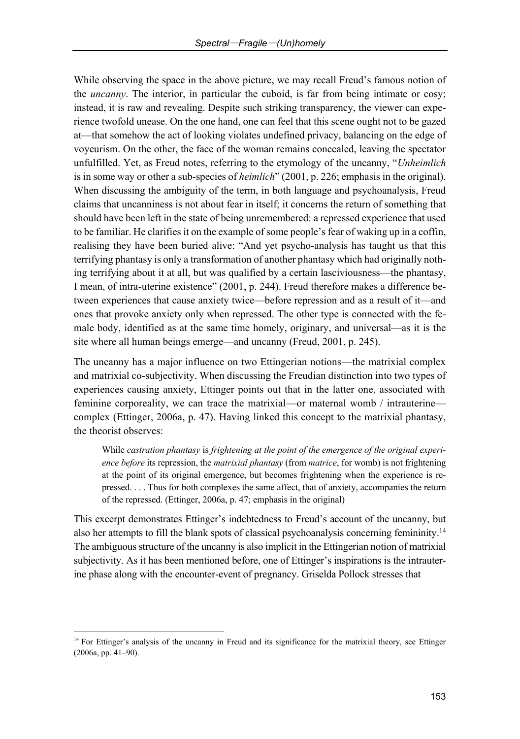While observing the space in the above picture, we may recall Freud's famous notion of the *uncanny*. The interior, in particular the cuboid, is far from being intimate or cosy; instead, it is raw and revealing. Despite such striking transparency, the viewer can experience twofold unease. On the one hand, one can feel that this scene ought not to be gazed at—that somehow the act of looking violates undefined privacy, balancing on the edge of voyeurism. On the other, the face of the woman remains concealed, leaving the spectator unfulfilled. Yet, as Freud notes, referring to the etymology of the uncanny, "*Unheimlich* is in some way or other a sub-species of *heimlich*" (2001, p. 226; emphasis in the original). When discussing the ambiguity of the term, in both language and psychoanalysis, Freud claims that uncanniness is not about fear in itself; it concerns the return of something that should have been left in the state of being unremembered: a repressed experience that used to be familiar. He clarifies it on the example of some people's fear of waking up in a coffin, realising they have been buried alive: "And yet psycho-analysis has taught us that this terrifying phantasy is only a transformation of another phantasy which had originally nothing terrifying about it at all, but was qualified by a certain lasciviousness—the phantasy, I mean, of intra-uterine existence" (2001, p. 244). Freud therefore makes a difference between experiences that cause anxiety twice—before repression and as a result of it—and ones that provoke anxiety only when repressed. The other type is connected with the female body, identified as at the same time homely, originary, and universal—as it is the site where all human beings emerge—and uncanny (Freud, 2001, p. 245).

The uncanny has a major influence on two Ettingerian notions—the matrixial complex and matrixial co-subjectivity. When discussing the Freudian distinction into two types of experiences causing anxiety, Ettinger points out that in the latter one, associated with feminine corporeality, we can trace the matrixial—or maternal womb / intrauterine complex (Ettinger, 2006a, p. 47). Having linked this concept to the matrixial phantasy, the theorist observes:

While *castration phantasy* is *frightening at the point of the emergence of the original experience before* its repression, the *matrixial phantasy* (from *matrice*, for womb) is not frightening at the point of its original emergence, but becomes frightening when the experience is repressed. . . . Thus for both complexes the same affect, that of anxiety, accompanies the return of the repressed. (Ettinger, 2006a, p. 47; emphasis in the original)

This excerpt demonstrates Ettinger's indebtedness to Freud's account of the uncanny, but also her attempts to fill the blank spots of classical psychoanalysis concerning femininity.<sup>14</sup> The ambiguous structure of the uncanny is also implicit in the Ettingerian notion of matrixial subjectivity. As it has been mentioned before, one of Ettinger's inspirations is the intrauterine phase along with the encounter-event of pregnancy. Griselda Pollock stresses that

<sup>&</sup>lt;sup>14</sup> For Ettinger's analysis of the uncanny in Freud and its significance for the matrixial theory, see Ettinger (2006a, pp. 41–90).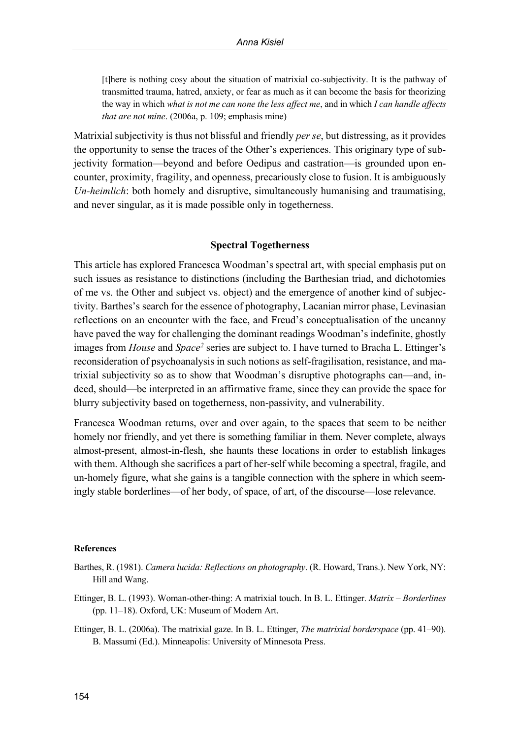[t]here is nothing cosy about the situation of matrixial co-subjectivity. It is the pathway of transmitted trauma, hatred, anxiety, or fear as much as it can become the basis for theorizing the way in which *what is not me can none the less affect me*, and in which *I can handle affects that are not mine*. (2006a, p. 109; emphasis mine)

Matrixial subjectivity is thus not blissful and friendly *per se*, but distressing, as it provides the opportunity to sense the traces of the Other's experiences. This originary type of subjectivity formation—beyond and before Oedipus and castration—is grounded upon encounter, proximity, fragility, and openness, precariously close to fusion. It is ambiguously *Un-heimlich*: both homely and disruptive, simultaneously humanising and traumatising, and never singular, as it is made possible only in togetherness.

### **Spectral Togetherness**

This article has explored Francesca Woodman's spectral art, with special emphasis put on such issues as resistance to distinctions (including the Barthesian triad, and dichotomies of me vs. the Other and subject vs. object) and the emergence of another kind of subjectivity. Barthes's search for the essence of photography, Lacanian mirror phase, Levinasian reflections on an encounter with the face, and Freud's conceptualisation of the uncanny have paved the way for challenging the dominant readings Woodman's indefinite, ghostly images from *House* and *Space<sup>2</sup>* series are subject to. I have turned to Bracha L. Ettinger's reconsideration of psychoanalysis in such notions as self-fragilisation, resistance, and matrixial subjectivity so as to show that Woodman's disruptive photographs can—and, indeed, should—be interpreted in an affirmative frame, since they can provide the space for blurry subjectivity based on togetherness, non-passivity, and vulnerability.

Francesca Woodman returns, over and over again, to the spaces that seem to be neither homely nor friendly, and yet there is something familiar in them. Never complete, always almost-present, almost-in-flesh, she haunts these locations in order to establish linkages with them. Although she sacrifices a part of her-self while becoming a spectral, fragile, and un-homely figure, what she gains is a tangible connection with the sphere in which seemingly stable borderlines—of her body, of space, of art, of the discourse—lose relevance.

#### **References**

- Barthes, R. (1981). *Camera lucida: Reflections on photography*. (R. Howard, Trans.). New York, NY: Hill and Wang.
- Ettinger, B. L. (1993). Woman-other-thing: A matrixial touch. In B. L. Ettinger. *Matrix – Borderlines* (pp. 11–18). Oxford, UK: Museum of Modern Art.
- Ettinger, B. L. (2006a). The matrixial gaze. In B. L. Ettinger, *The matrixial borderspace* (pp. 41–90). B. Massumi (Ed.). Minneapolis: University of Minnesota Press.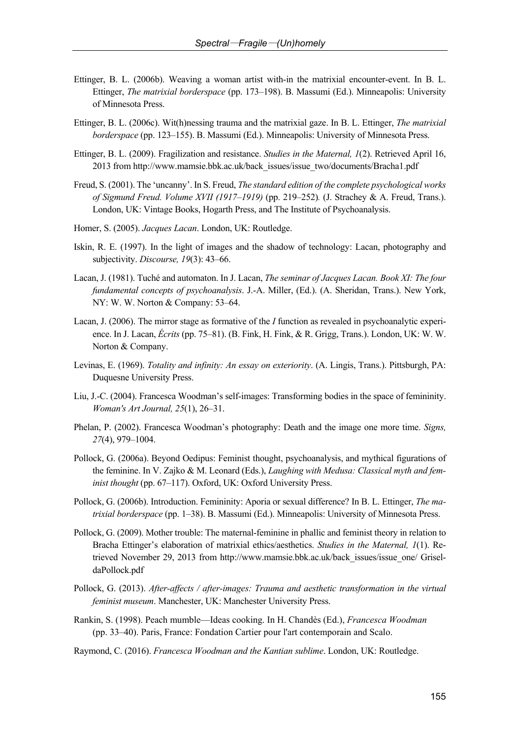- Ettinger, B. L. (2006b). Weaving a woman artist with-in the matrixial encounter-event. In B. L. Ettinger, *The matrixial borderspace* (pp. 173–198). B. Massumi (Ed.). Minneapolis: University of Minnesota Press.
- Ettinger, B. L. (2006c). Wit(h)nessing trauma and the matrixial gaze. In B. L. Ettinger, *The matrixial borderspace* (pp. 123–155). B. Massumi (Ed.). Minneapolis: University of Minnesota Press.
- Ettinger, B. L. (2009). Fragilization and resistance. *Studies in the Maternal, 1*(2). Retrieved April 16, 2013 from http://www.mamsie.bbk.ac.uk/back\_issues/issue\_two/documents/Bracha1.pdf
- Freud, S. (2001). The 'uncanny'. In S. Freud, *The standard edition of the complete psychological works of Sigmund Freud. Volume XVII (1917–1919)* (pp. 219–252)*.* (J. Strachey & A. Freud, Trans.). London, UK: Vintage Books, Hogarth Press, and The Institute of Psychoanalysis.
- Homer, S. (2005). *Jacques Lacan*. London, UK: Routledge.
- Iskin, R. E. (1997). In the light of images and the shadow of technology: Lacan, photography and subjectivity. *Discourse, 19*(3): 43–66.
- Lacan, J. (1981). Tuché and automaton. In J. Lacan, *The seminar of Jacques Lacan. Book XI: The four fundamental concepts of psychoanalysis*. J.-A. Miller, (Ed.). (A. Sheridan, Trans.). New York, NY: W. W. Norton & Company: 53–64.
- Lacan, J. (2006). The mirror stage as formative of the *I* function as revealed in psychoanalytic experience. In J. Lacan, *Écrits* (pp. 75–81). (B. Fink, H. Fink, & R. Grigg, Trans.). London, UK: W. W. Norton & Company.
- Levinas, E. (1969). *Totality and infinity: An essay on exteriority*. (A. Lingis, Trans.). Pittsburgh, PA: Duquesne University Press.
- Liu, J.-C. (2004). Francesca Woodman's self-images: Transforming bodies in the space of femininity. *Woman's Art Journal, 25*(1), 26–31.
- Phelan, P. (2002). Francesca Woodman's photography: Death and the image one more time. *Signs, 27*(4), 979–1004.
- Pollock, G. (2006a). Beyond Oedipus: Feminist thought, psychoanalysis, and mythical figurations of the feminine. In V. Zajko & M. Leonard (Eds.), *Laughing with Medusa: Classical myth and feminist thought* (pp. 67–117). Oxford, UK: Oxford University Press.
- Pollock, G. (2006b). Introduction. Femininity: Aporia or sexual difference? In B. L. Ettinger, *The matrixial borderspace* (pp. 1–38). B. Massumi (Ed.). Minneapolis: University of Minnesota Press.
- Pollock, G. (2009). Mother trouble: The maternal-feminine in phallic and feminist theory in relation to Bracha Ettinger's elaboration of matrixial ethics/aesthetics. *Studies in the Maternal, 1*(1). Retrieved November 29, 2013 from http://www.mamsie.bbk.ac.uk/back\_issues/issue\_one/ GriseldaPollock.pdf
- Pollock, G. (2013). *After-affects / after-images: Trauma and aesthetic transformation in the virtual feminist museum*. Manchester, UK: Manchester University Press.
- Rankin, S. (1998). Peach mumble—Ideas cooking. In H. Chandès (Ed.), *Francesca Woodman* (pp. 33–40). Paris, France: Fondation Cartier pour l'art contemporain and Scalo.
- Raymond, C. (2016). *Francesca Woodman and the Kantian sublime*. London, UK: Routledge.